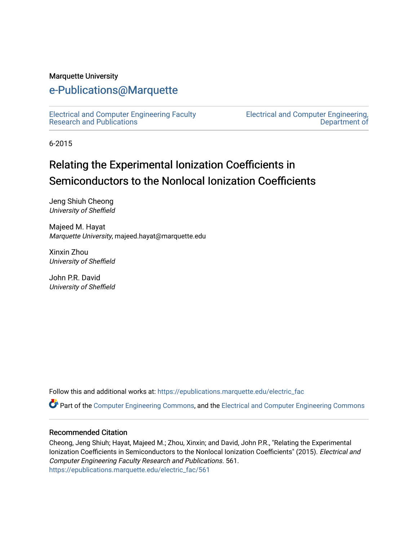#### Marquette University

## [e-Publications@Marquette](https://epublications.marquette.edu/)

[Electrical and Computer Engineering Faculty](https://epublications.marquette.edu/electric_fac) [Research and Publications](https://epublications.marquette.edu/electric_fac) 

[Electrical and Computer Engineering,](https://epublications.marquette.edu/electric)  [Department of](https://epublications.marquette.edu/electric) 

6-2015

# Relating the Experimental Ionization Coefficients in Semiconductors to the Nonlocal Ionization Coefficients

Jeng Shiuh Cheong University of Sheffield

Majeed M. Hayat Marquette University, majeed.hayat@marquette.edu

Xinxin Zhou University of Sheffield

John P.R. David University of Sheffield

Follow this and additional works at: [https://epublications.marquette.edu/electric\\_fac](https://epublications.marquette.edu/electric_fac?utm_source=epublications.marquette.edu%2Felectric_fac%2F561&utm_medium=PDF&utm_campaign=PDFCoverPages) 

Part of the [Computer Engineering Commons,](http://network.bepress.com/hgg/discipline/258?utm_source=epublications.marquette.edu%2Felectric_fac%2F561&utm_medium=PDF&utm_campaign=PDFCoverPages) and the [Electrical and Computer Engineering Commons](http://network.bepress.com/hgg/discipline/266?utm_source=epublications.marquette.edu%2Felectric_fac%2F561&utm_medium=PDF&utm_campaign=PDFCoverPages)

#### Recommended Citation

Cheong, Jeng Shiuh; Hayat, Majeed M.; Zhou, Xinxin; and David, John P.R., "Relating the Experimental Ionization Coefficients in Semiconductors to the Nonlocal Ionization Coefficients" (2015). Electrical and Computer Engineering Faculty Research and Publications. 561. [https://epublications.marquette.edu/electric\\_fac/561](https://epublications.marquette.edu/electric_fac/561?utm_source=epublications.marquette.edu%2Felectric_fac%2F561&utm_medium=PDF&utm_campaign=PDFCoverPages)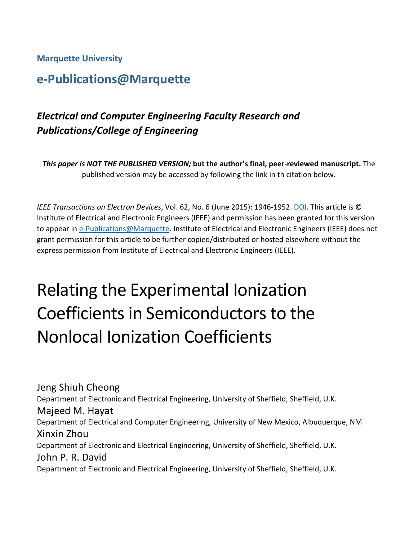**Marquette University**

## **e-Publications@Marquette**

## *Electrical and Computer Engineering Faculty Research and Publications/College of Engineering*

*This paper is NOT THE PUBLISHED VERSION;* **but the author's final, peer-reviewed manuscript.** The published version may be accessed by following the link in th citation below.

*IEEE Transactions on Electron Devices*, Vol. 62, No. 6 (June 2015): 1946-1952. [DOI.](https://doi.org/10.1109/TED.2015.2422789) This article is © Institute of Electrical and Electronic Engineers (IEEE) and permission has been granted for this version to appear in [e-Publications@Marquette.](http://epublications.marquette.edu/) Institute of Electrical and Electronic Engineers (IEEE) does not grant permission for this article to be further copied/distributed or hosted elsewhere without the express permission from Institute of Electrical and Electronic Engineers (IEEE).

# Relating the Experimental Ionization Coefficients in Semiconductors to the Nonlocal Ionization Coefficients

Jeng Shiuh Cheong Department of Electronic and Electrical Engineering, University of Sheffield, Sheffield, U.K. Majeed M. Hayat Department of Electrical and Computer Engineering, University of New Mexico, Albuquerque, NM Xinxin Zhou Department of Electronic and Electrical Engineering, University of Sheffield, Sheffield, U.K. John P. R. David Department of Electronic and Electrical Engineering, University of Sheffield, Sheffield, U.K.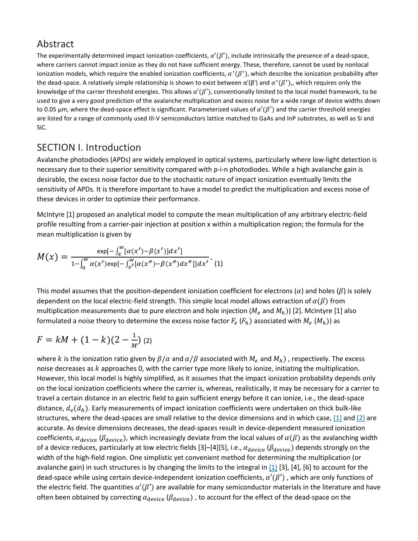#### Abstract

The experimentally determined impact ionization coefficients,  $\alpha'(0')$ , include intrinsically the presence of a dead-space, where carriers cannot impact ionize as they do not have sufficient energy. These, therefore, cannot be used by nonlocal ionization models, which require the enabled ionization coefficients,  $\alpha^*(\beta^*)$ , which describe the ionization probability after the dead-space. A relatively simple relationship is shown to exist between  $\alpha'(\beta')$  and  $\alpha^*(\beta^*)$ ,, which requires only the knowledge of the carrier threshold energies. This allows  $\alpha'(\beta')$ , conventionally limited to the local model framework, to be used to give a very good prediction of the avalanche multiplication and excess noise for a wide range of device widths down to 0.05  $\mu$ m, where the dead-space effect is significant. Parameterized values of  $\alpha'(\beta')$  and the carrier threshold energies are listed for a range of commonly used III-V semiconductors lattice matched to GaAs and InP substrates, as well as Si and SiC.

#### SECTION I. Introduction

Avalanche photodiodes (APDs) are widely employed in optical systems, particularly where low-light detection is necessary due to their superior sensitivity compared with p-i-n photodiodes. While a high avalanche gain is desirable, the excess noise factor due to the stochastic nature of impact ionization eventually limits the sensitivity of APDs. It is therefore important to have a model to predict the multiplication and excess noise of these devices in order to optimize their performance.

McIntyre [1] proposed an analytical model to compute the mean multiplication of any arbitrary electric-field profile resulting from a carrier-pair injection at position x within a multiplication region; the formula for the mean multiplication is given by

$$
M(x) = \frac{\exp[-\int_{x}^{w} [\alpha(x') - \beta(x')]dx']}{1 - \int_{0}^{w} \alpha(x') \exp[-\int_{x'}^{w} [\alpha(x'') - \beta(x'')]dx'']dx'} \cdot (1)
$$

This model assumes that the position-dependent ionization coefficient for electrons ( $\alpha$ ) and holes ( $\beta$ ) is solely dependent on the local electric-field strength. This simple local model allows extraction of  $\alpha(\beta)$  from multiplication measurements due to pure electron and hole injection ( $M_e$  and  $M_h$ )) [2]. McIntyre [1] also formulated a noise theory to determine the excess noise factor  $F_e$  ( $F_h$ ) associated with  $M_e$  ( $M_h$ )) as

$$
F = kM + (1 - k)(2 - \frac{1}{M})(2)
$$

where k is the ionization ratio given by  $\beta/\alpha$  and  $\alpha/\beta$  associated with  $M_e$  and  $M_h$ ), respectively. The excess noise decreases as  $k$  approaches 0, with the carrier type more likely to ionize, initiating the multiplication. However, this local model is highly simplified, as it assumes that the impact ionization probability depends only on the local ionization coefficients where the carrier is, whereas, realistically, it may be necessary for a carrier to travel a certain distance in an electric field to gain sufficient energy before it can ionize, i.e., the dead-space distance,  $d_e(d_h)$ . Early measurements of impact ionization coefficients were undertaken on thick bulk-like structures, where the dead-spaces are small relative to the device dimensions and in which case, [\(1\)](https://ieeexplore.ieee.org/document/#deqn1) and [\(2\)](https://ieeexplore.ieee.org/document/#deqn2) are accurate. As device dimensions decreases, the dead-spaces result in device-dependent measured ionization coefficients,  $\alpha_{\text{device}}$  ( $\beta_{\text{device}}$ ), which increasingly deviate from the local values of  $\alpha(\beta)$  as the avalanching width of a device reduces, particularly at low electric fields [3]–[4][5], i.e.,  $\alpha_{\text{device}}$  ( $\beta_{\text{device}}$ ) depends strongly on the width of the high-field region. One simplistic yet convenient method for determining the multiplication (or avalanche gain) in such structures is by changing the limits to the integral in  $(1)$  [3], [4], [6] to account for the dead-space while using certain device-independent ionization coefficients,  $\alpha'(\beta')$ , which are only functions of the electric field. The quantities  $\alpha'(\beta')$  are available for many semiconductor materials in the literature and have often been obtained by correcting  $\alpha_{\text{device}}$  ( $\beta_{\text{device}}$ ), to account for the effect of the dead-space on the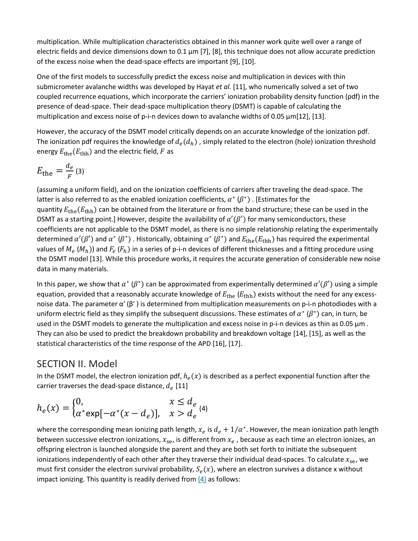multiplication. While multiplication characteristics obtained in this manner work quite well over a range of electric fields and device dimensions down to 0.1 μm [7], [8], this technique does not allow accurate prediction of the excess noise when the dead-space effects are important [9], [10].

One of the first models to successfully predict the excess noise and multiplication in devices with thin submicrometer avalanche widths was developed by Hayat *et al.* [11], who numerically solved a set of two coupled recurrence equations, which incorporate the carriers' ionization probability density function (pdf) in the presence of dead-space. Their dead-space multiplication theory (DSMT) is capable of calculating the multiplication and excess noise of p-i-n devices down to avalanche widths of 0.05 μm[12], [13].

However, the accuracy of the DSMT model critically depends on an accurate knowledge of the ionization pdf. The ionization pdf requires the knowledge of  $d_e(d_h)$ , simply related to the electron (hole) ionization threshold energy  $E_{the}(E_{thh})$  and the electric field, F as

$$
E_{\rm the} = \frac{d_e}{F} \, (3)
$$

(assuming a uniform field), and on the ionization coefficients of carriers after traveling the dead-space. The latter is also referred to as the enabled ionization coefficients,  $\alpha^* (\beta^*)$ . [Estimates for the quantity  $E_{the}(E_{thh})$  can be obtained from the literature or from the band structure; these can be used in the DSMT as a starting point.] However, despite the availability of  $\alpha'(\beta')$  for many semiconductors, these coefficients are not applicable to the DSMT model, as there is no simple relationship relating the experimentally determined  $\alpha'(\beta')$  and  $\alpha^*(\beta^*)$ . Historically, obtaining  $\alpha^*(\beta^*)$  and  $E_{the}(E_{thh})$  has required the experimental values of  $M_e$  ( $M_h$ )) and  $F_e$  ( $F_h$ ) in a series of p-i-n devices of different thicknesses and a fitting procedure using the DSMT model [13]. While this procedure works, it requires the accurate generation of considerable new noise data in many materials.

In this paper, we show that  $\alpha^*$  ( $\beta^*$ ) can be approximated from experimentally determined  $\alpha'(\beta')$  using a simple equation, provided that a reasonably accurate knowledge of  $E_{the}$  ( $E_{thh}$ ) exists without the need for any excessnoise data. The parameter α′ (β′ ) is determined from multiplication measurements on p-i-n photodiodes with a uniform electric field as they simplify the subsequent discussions. These estimates of  $\alpha^* (\beta^*)$  can, in turn, be used in the DSMT models to generate the multiplication and excess noise in p-i-n devices as thin as 0.05 μm . They can also be used to predict the breakdown probability and breakdown voltage [14], [15], as well as the statistical characteristics of the time response of the APD [16], [17].

#### SECTION II. Model

In the DSMT model, the electron ionization pdf,  $h_e(x)$  is described as a perfect exponential function after the carrier traverses the dead-space distance,  $d_e$  [11]

$$
h_e(x) = \begin{cases} 0, & x \le d_e \\ \alpha^* \exp[-\alpha^* (x - d_e)], & x > d_e \end{cases}
$$
 (4)

where the corresponding mean ionizing path length,  $x_e$  is  $d_e + 1/a^*$ . However, the mean ionization path length between successive electron ionizations,  $x_{se}$ , is different from  $x_e$ , because as each time an electron ionizes, an offspring electron is launched alongside the parent and they are both set forth to initiate the subsequent ionizations independently of each other after they traverse their individual dead-spaces. To calculate  $x_{se}$ , we must first consider the electron survival probability,  $S_e(x)$ , where an electron survives a distance x without impact ionizing. This quantity is readily derived from  $(4)$  as follows: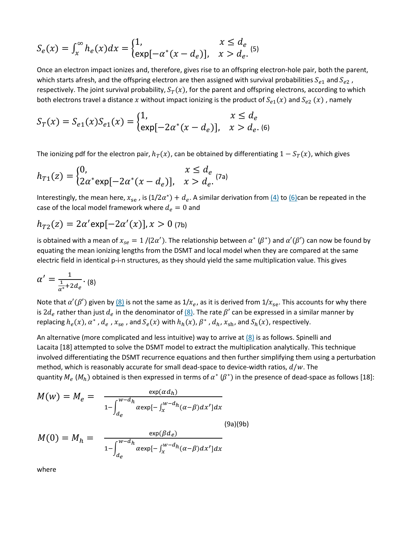$$
S_e(x) = \int_x^{\infty} h_e(x) dx = \begin{cases} 1, & x \le d_e \\ \exp[-\alpha^*(x - d_e)], & x > d_e. \end{cases}
$$
 (5)

Once an electron impact ionizes and, therefore, gives rise to an offspring electron-hole pair, both the parent, which starts afresh, and the offspring electron are then assigned with survival probabilities  $S_{e1}$  and  $S_{e2}$ , respectively. The joint survival probability,  $S_T(x)$ , for the parent and offspring electrons, according to which both electrons travel a distance x without impact ionizing is the product of  $S_{e1}(x)$  and  $S_{e2}(x)$  , namely

$$
S_T(x) = S_{e1}(x)S_{e1}(x) = \begin{cases} 1, & x \le d_e \\ \exp[-2a^*(x - d_e)], & x > d_e. \end{cases}
$$
 (6)

The ionizing pdf for the electron pair,  $h_T(x)$ , can be obtained by differentiating  $1 - S_T(x)$ , which gives

$$
h_{T1}(z) = \begin{cases} 0, & x \le d_e \\ 2\alpha^* \exp[-2\alpha^*(x - d_e)], & x > d_e. \end{cases}
$$
 (7a)

Interestingly, the mean here,  $x_{se}$ , is (1/2 $\alpha^*$ ) +  $d_e$ . A similar derivation from  $(4)$  to  $(6)$ can be repeated in the case of the local model framework where  $d_e = 0$  and

$$
h_{T2}(z) = 2\alpha' \exp[-2\alpha'(x)], x > 0
$$
 (7b)

is obtained with a mean of  $x_{se}=1$  /(2 $\alpha'$ ). The relationship between  $\alpha^*$  ( $\beta^*$ ) and  $\alpha'(\beta')$  can now be found by equating the mean ionizing lengths from the DSMT and local model when they are compared at the same electric field in identical p-i-n structures, as they should yield the same multiplication value. This gives

$$
\alpha' = \frac{1}{\frac{1}{\alpha^*} + 2d_e} \cdot (8)
$$

Note that  $\alpha'(\beta')$  given by  $(8)$  is not the same as  $1/x_e$ , as it is derived from  $1/x_{se}$ . This accounts for why there is  $2 d_e$  rather than just  $d_e$  in the denominator of  $(8)$ . The rate  $\beta'$  can be expressed in a similar manner by replacing  $h_e(x)$ ,  $\alpha^*$ ,  $d_e$ ,  $x_{se}$ , and  $S_e(x)$  with  $h_h(x)$ ,  $\beta^*$ ,  $d_h$ ,  $x_{sh}$ , and  $S_h(x)$ , respectively.

An alternative (more complicated and less intuitive) way to arrive at  $(8)$  is as follows. Spinelli and Lacaita [18] attempted to solve the DSMT model to extract the multiplication analytically. This technique involved differentiating the DSMT recurrence equations and then further simplifying them using a perturbation method, which is reasonably accurate for small dead-space to device-width ratios,  $d/w$ . The quantity  $M_e$  ( $M_h$ ) obtained is then expressed in terms of  $\alpha^*$  ( $\beta^*$ ) in the presence of dead-space as follows [18]:

$$
M(w) = M_e = \frac{\exp(\alpha d_h)}{1 - \int_{d_e}^{w - d_h} \alpha \exp[-\int_x^{w - d_h} (\alpha - \beta) dx'] dx}
$$
  

$$
M(0) = M_h = \frac{\exp(\beta d_e)}{1 - \int_{d_e}^{w - d_h} \alpha \exp[-\int_x^{w - d_h} (\alpha - \beta) dx'] dx}
$$
  
(9a)(9b)

 $a_e$ 

where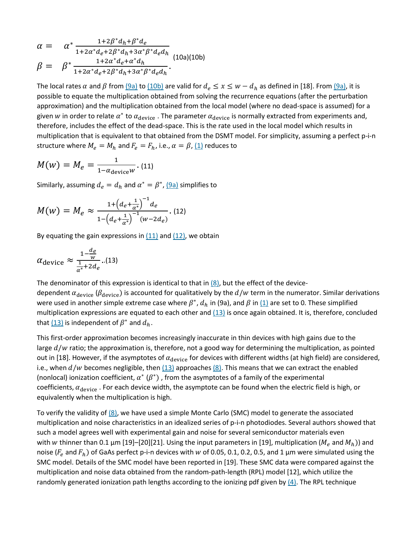$$
\alpha = \alpha^* \frac{1 + 2\beta^* d_h + \beta^* d_e}{1 + 2\alpha^* d_e + 2\beta^* d_h + 3\alpha^* \beta^* d_e d_h}
$$
\n
$$
\beta = \beta^* \frac{1 + 2\alpha^* d_e + \alpha^* d_h}{1 + 2\alpha^* d_e + 2\beta^* d_h + 3\alpha^* \beta^* d_e d_h}.
$$
\n(10a)(10b)

The local rates  $\alpha$  and  $\beta$  from [\(9a\)](https://ieeexplore.ieee.org/document/#deqn9a-b) to [\(10b\)](https://ieeexplore.ieee.org/document/#deqn10a-b) are valid for  $d_e \le x \le w - d_h$  as defined in [18]. From [\(9a\),](https://ieeexplore.ieee.org/document/#deqn9a-b) it is possible to equate the multiplication obtained from solving the recurrence equations (after the perturbation approximation) and the multiplication obtained from the local model (where no dead-space is assumed) for a given w in order to relate  $\alpha^*$  to  $\alpha_{\text{device}}$ . The parameter  $\alpha_{\text{device}}$  is normally extracted from experiments and, therefore, includes the effect of the dead-space. This is the rate used in the local model which results in multiplication that is equivalent to that obtained from the DSMT model. For simplicity, assuming a perfect p-i-n structure where  $M_e = M_h$  and  $F_e = F_h$ , i.e.,  $\alpha = \beta$ , [\(1\)](https://ieeexplore.ieee.org/document/#deqn1) reduces to

$$
M(w) = M_e = \frac{1}{1 - \alpha_{\text{device}}w} \cdot (11)
$$

Similarly, assuming  $d_e = d_h$  and  $\alpha^* = \beta^*$ , [\(9a\)](https://ieeexplore.ieee.org/document/#deqn9a-b) simplifies to

$$
M(w) = M_e \approx \frac{1 + \left(d_e + \frac{1}{\alpha^*}\right)^{-1} d_e}{1 - \left(d_e + \frac{1}{\alpha^*}\right)^{-1} (w - 2d_e)}.
$$
 (12)

By equating the gain expressions in  $(11)$  and  $(12)$ , we obtain

$$
\alpha_{\text{device}} \approx \frac{1 - \frac{d_e}{w}}{\frac{1}{\alpha^*} + 2d_e} \,. (13)
$$

The denominator of this expression is identical to that in  $(8)$ , but the effect of the devicedependent  $\alpha_{\text{device}}$  ( $\beta_{\text{device}}$ ) is accounted for qualitatively by the  $d/w$  term in the numerator. Similar derivations were used in another simple extreme case where  $\beta^*$ ,  $d_h$  in (9a), and  $\beta$  in [\(1\)](https://ieeexplore.ieee.org/document/#deqn1) are set to 0. These simplified multiplication expressions are equated to each other and  $(13)$  is once again obtained. It is, therefore, concluded that  $(13)$  is independent of  $\beta^*$  and  $d_h$ .

This first-order approximation becomes increasingly inaccurate in thin devices with high gains due to the large  $d/w$  ratio; the approximation is, therefore, not a good way for determining the multiplication, as pointed out in [18]. However, if the asymptotes of  $\alpha_{\text{device}}$  for devices with different widths (at high field) are considered, i.e., when  $d/w$  becomes negligible, then  $(13)$  approaches  $(8)$ . This means that we can extract the enabled (nonlocal) ionization coefficient,  $\alpha^* (\beta^*)$ , from the asymptotes of a family of the experimental coefficients,  $\alpha_{\text{device}}$ . For each device width, the asymptote can be found when the electric field is high, or equivalently when the multiplication is high.

To verify the validity of [\(8\),](https://ieeexplore.ieee.org/document/#deqn8) we have used a simple Monte Carlo (SMC) model to generate the associated multiplication and noise characteristics in an idealized series of p-i-n photodiodes. Several authors showed that such a model agrees well with experimental gain and noise for several semiconductor materials even with w thinner than 0.1 µm [19]–[20][21]. Using the input parameters in [19], multiplication ( $M_e$  and  $M_h$ )) and noise ( $F_e$  and  $F_h$ ) of GaAs perfect p-i-n devices with w of 0.05, 0.1, 0.2, 0.5, and 1 µm were simulated using the SMC model. Details of the SMC model have been reported in [19]. These SMC data were compared against the multiplication and noise data obtained from the random-path-length (RPL) model [12], which utilize the randomly generated ionization path lengths according to the ionizing pdf given by  $(4)$ . The RPL technique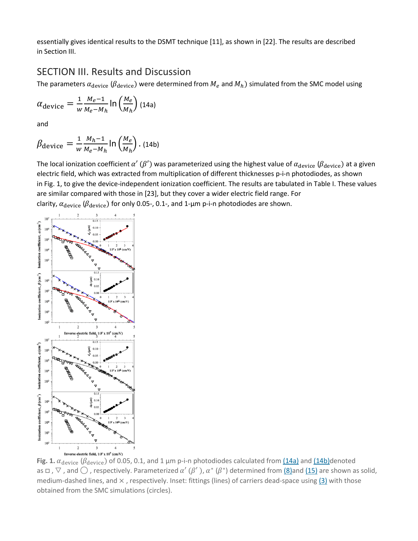essentially gives identical results to the DSMT technique [11], as shown in [22]. The results are described in Section III.

#### SECTION III. Results and Discussion

The parameters  $\alpha_{\text{device}}$  ( $\beta_{\text{device}}$ ) were determined from  $M_e$  and  $M_h$ ) simulated from the SMC model using

$$
\alpha_{\text{device}} = \frac{1}{w} \frac{M_e - 1}{M_e - M_h} \ln\left(\frac{M_e}{M_h}\right) (14a)
$$

and

$$
\beta_{\text{device}} = \frac{1}{w} \frac{M_h - 1}{M_e - M_h} \ln\left(\frac{M_e}{M_h}\right). (14b)
$$

The local ionization coefficient  $\alpha'$  ( $\beta'$ ) was parameterized using the highest value of  $\alpha_{\text{device}}$  ( $\beta_{\text{device}}$ ) at a given electric field, which was extracted from multiplication of different thicknesses p-i-n photodiodes, as shown in Fig. 1, to give the device-independent ionization coefficient. The results are tabulated in Table I. These values are similar compared with those in [23], but they cover a wider electric field range. For clarity,  $\alpha_{\text{device}}$  ( $\beta_{\text{device}}$ ) for only 0.05-, 0.1-, and 1-µm p-i-n photodiodes are shown.



Fig. 1.  $\alpha_{\text{device}}$  ( $\beta_{\text{device}}$ ) of 0.05, 0.1, and 1 µm p-i-n photodiodes calculated from  $(14a)$  and  $(14b)$ denoted as  $\Box$ ,  $\nabla$ , and  $\bigcirc$ , respectively. Parameterized  $\alpha'$  ( $\beta'$ ),  $\alpha^*$  ( $\beta^*$ ) determined from [\(8\)a](https://ieeexplore.ieee.org/document/#deqn8)nd [\(15\)](https://ieeexplore.ieee.org/document/#deqn15) are shown as solid, medium-dashed lines, and  $\times$ , respectively. Inset: fittings (lines) of carriers dead-space using  $(3)$  with those obtained from the SMC simulations (circles).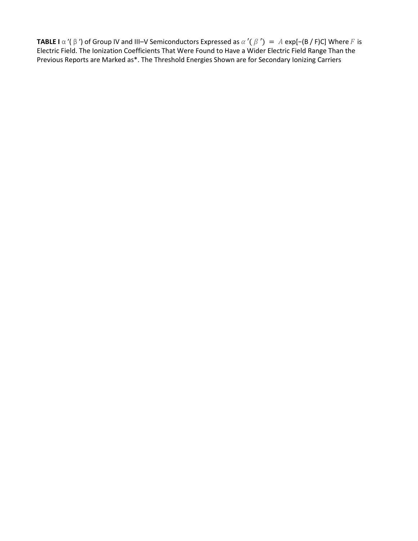**TABLE I**  $\alpha'(\beta')$  of Group IV and III–V Semiconductors Expressed as  $\alpha'(\beta') = A \exp[-(B/F)C]$  Where F is Electric Field. The Ionization Coefficients That Were Found to Have a Wider Electric Field Range Than the Previous Reports are Marked as\*. The Threshold Energies Shown are for Secondary Ionizing Carriers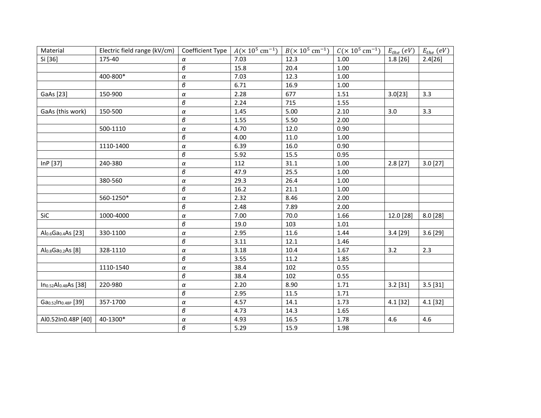| Material                                      | Electric field range (kV/cm) |               | Coefficient Type $A(x 10^5 \text{ cm}^{-1})$ | $B(\times 10^5 \text{ cm}^{-1})$ | $C(x 10^5 \text{ cm}^{-1})$ $E_{the}$ (eV) |            | $E_{the}$ (eV) |
|-----------------------------------------------|------------------------------|---------------|----------------------------------------------|----------------------------------|--------------------------------------------|------------|----------------|
| Si [36]                                       | 175-40                       | $\alpha$      | 7.03                                         | 12.3                             | 1.00                                       | 1.8[26]    | 2.4[26]        |
|                                               |                              | $\pmb{\beta}$ | 15.8                                         | 20.4                             | 1.00                                       |            |                |
|                                               | 400-800*                     | $\alpha$      | 7.03                                         | 12.3                             | 1.00                                       |            |                |
|                                               |                              | $\pmb{\beta}$ | 6.71                                         | 16.9                             | 1.00                                       |            |                |
| GaAs [23]                                     | 150-900                      | $\alpha$      | 2.28                                         | 677                              | 1.51                                       | 3.0[23]    | 3.3            |
|                                               |                              | в             | 2.24                                         | 715                              | 1.55                                       |            |                |
| GaAs (this work)                              | 150-500                      | $\alpha$      | 1.45                                         | 5.00                             | 2.10                                       | 3.0        | 3.3            |
|                                               |                              | $\pmb{\beta}$ | 1.55                                         | 5.50                             | 2.00                                       |            |                |
|                                               | 500-1110                     | $\alpha$      | 4.70                                         | 12.0                             | 0.90                                       |            |                |
|                                               |                              | $\pmb{\beta}$ | 4.00                                         | 11.0                             | 1.00                                       |            |                |
|                                               | 1110-1400                    | $\alpha$      | 6.39                                         | 16.0                             | 0.90                                       |            |                |
|                                               |                              | в             | 5.92                                         | 15.5                             | 0.95                                       |            |                |
| InP $[37]$                                    | 240-380                      | $\alpha$      | 112                                          | 31.1                             | 1.00                                       | $2.8$ [27] | 3.0 [27]       |
|                                               |                              | $\pmb{\beta}$ | 47.9                                         | 25.5                             | 1.00                                       |            |                |
|                                               | 380-560                      | $\alpha$      | 29.3                                         | 26.4                             | 1.00                                       |            |                |
|                                               |                              | $\pmb{\beta}$ | 16.2                                         | 21.1                             | 1.00                                       |            |                |
|                                               | 560-1250*                    | $\alpha$      | 2.32                                         | 8.46                             | 2.00                                       |            |                |
|                                               |                              | $\pmb{\beta}$ | 2.48                                         | 7.89                             | 2.00                                       |            |                |
| SiC                                           | 1000-4000                    | $\alpha$      | 7.00                                         | 70.0                             | 1.66                                       | 12.0 [28]  | $8.0$ [28]     |
|                                               |                              | $\pmb{\beta}$ | 19.0                                         | 103                              | 1.01                                       |            |                |
| Al <sub>0.6</sub> Ga <sub>0.4</sub> As [23]   | 330-1100                     | $\alpha$      | 2.95                                         | 11.6                             | 1.44                                       | 3.4[29]    | 3.6[29]        |
|                                               |                              | $\pmb{\beta}$ | 3.11                                         | 12.1                             | 1.46                                       |            |                |
| Al <sub>0.8</sub> Ga <sub>0.2</sub> As [8]    | 328-1110                     | $\alpha$      | 3.18                                         | 10.4                             | 1.67                                       | 3.2        | 2.3            |
|                                               |                              | $\pmb{\beta}$ | 3.55                                         | 11.2                             | 1.85                                       |            |                |
|                                               | 1110-1540                    | $\alpha$      | 38.4                                         | 102                              | 0.55                                       |            |                |
|                                               |                              | $\pmb{\beta}$ | 38.4                                         | 102                              | 0.55                                       |            |                |
| In <sub>0.52</sub> Al <sub>0.48</sub> As [38] | 220-980                      | $\alpha$      | 2.20                                         | 8.90                             | 1.71                                       | $3.2$ [31] | 3.5[31]        |
|                                               |                              | $\pmb{\beta}$ | 2.95                                         | 11.5                             | 1.71                                       |            |                |
| Ga <sub>0.52</sub> In <sub>0.48P</sub> [39]   | 357-1700                     | $\alpha$      | 4.57                                         | 14.1                             | 1.73                                       | 4.1 [32]   | 4.1 [32]       |
|                                               |                              | $\pmb{\beta}$ | 4.73                                         | 14.3                             | 1.65                                       |            |                |
| Al0.52In0.48P [40]                            | 40-1300*                     | α             | 4.93                                         | 16.5                             | 1.78                                       | 4.6        | 4.6            |
|                                               |                              | $\pmb{\beta}$ | 5.29                                         | 15.9                             | 1.98                                       |            |                |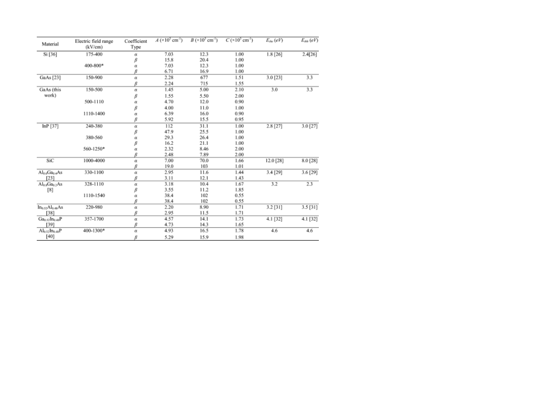| Material                         | Electric field range | Coefficient | $A (×105 cm-1)$ | $B (×105 cm-1)$ | $C ( \times 10^5 \text{ cm}^{-1})$ | $E_{abc}(eV)$ | $E_{ikk}$ (eV) |
|----------------------------------|----------------------|-------------|-----------------|-----------------|------------------------------------|---------------|----------------|
|                                  | (kV/cm)              | Type        |                 |                 |                                    |               |                |
| Si [36]                          | 175-400              | α           | 7.03            | 12.3            | 1.00                               | 1.8[26]       | 2.4[26]        |
|                                  |                      | β           | 15.8            | 20.4            | 1.00                               |               |                |
|                                  | 400-800*             | α           | 7.03            | 12.3            | 1.00                               |               |                |
|                                  |                      | ₿           | 6.71            | 16.9            | 1.00                               |               |                |
| GaAs [23]                        | 150-900              | α           | 2.28            | 677             | 1.51                               | 3.0 [23]      | 3.3            |
|                                  |                      | ₿           | 2.24            | 715             | 1.55                               |               |                |
| GaAs (this                       | 150-500              | α           | 1.45            | 5.00            | 2.10                               | 3.0           | 3.3            |
| work)                            |                      | β           | 1.55            | 5.50            | 2.00                               |               |                |
|                                  | 500-1110             | α           | 4.70            | 12.0            | 0.90                               |               |                |
|                                  |                      | β           | 4.00            | 11.0            | 1.00                               |               |                |
|                                  | 1110-1400            | α           | 6.39            | 16.0            | 0.90                               |               |                |
|                                  |                      | β           | 5.92            | 15.5            | 0.95                               |               |                |
| InP $[37]$                       | 240-380              | α           | 112             | 31.1            | 1.00                               | 2.8[27]       | 3.0 [27]       |
|                                  |                      | β           | 47.9            | 25.5            | 1.00                               |               |                |
|                                  | 380-560              | α           | 29.3            | 26.4            | 1.00                               |               |                |
|                                  |                      | β           | 16.2            | 21.1            | 1.00                               |               |                |
|                                  | 560-1250*            | α           | 2.32            | 8.46            | 2.00                               |               |                |
|                                  |                      | ß           | 2.48            | 7.89            | 2.00                               |               |                |
| SiC                              | 1000-4000            | α           | 7.00            | 70.0            | 1.66                               | 12.0 [28]     | 8.0 [28]       |
|                                  |                      | β           | 19.0            | 103             | 1.01                               |               |                |
| $Al_{0.6}Ga_{0.4}As$             | 330-1100             | α           | 2.95            | 11.6            | 1.44                               | 3.4 [29]      | 3.6 [29]       |
| [23]                             |                      | B           | 3.11            | 12.1            | 1.43                               |               |                |
| $Al_{0.8}Ga_{0.2}As$             | 328-1110             | α           | 3.18            | 10.4            | 1.67                               | 3.2           | 2.3            |
| [8]                              |                      | β           | 3.55            | 11.2            | 1.85                               |               |                |
|                                  | 1110-1540            | α           | 38.4            | 102             | 0.55                               |               |                |
|                                  |                      | β           | 38.4            | 102             | 0.55                               |               |                |
| $In_{0.52}Al_{0.48}As$           | 220-980              | α           | 2.20            | 8.90            | 1.71                               | 3.2 [31]      | 3.5 [31]       |
| [38]                             |                      | ß           | 2.95            | 11.5            | 1.71                               |               |                |
| $Ga_{0.52}$ In <sub>0.48</sub> P | 357-1700             | α           | 4.57            | 14.1            | 1.73                               | 4.1 [32]      | 4.1 [32]       |
| [39]                             |                      | ₿           | 4.73            | 14.3            | 1.65                               |               |                |
| $Al_{0.52}In_{0.48}P$            | 400-1300*            | α           | 4.93            | 16.5            | 1.78                               | 4.6           | 4.6            |
| $[40]$                           |                      | B           | 5.29            | 15.9            | 1.98                               |               |                |
|                                  |                      |             |                 |                 |                                    |               |                |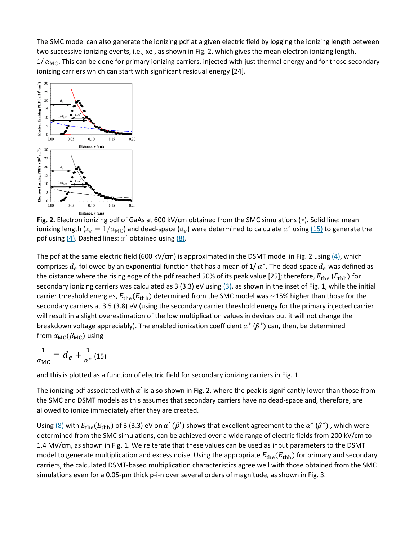The SMC model can also generate the ionizing pdf at a given electric field by logging the ionizing length between two successive ionizing events, i.e., xe , as shown in Fig. 2, which gives the mean electron ionizing length,  $1/\alpha_{MC}$ . This can be done for primary ionizing carriers, injected with just thermal energy and for those secondary ionizing carriers which can start with significant residual energy [24].



**Fig. 2.** Electron ionizing pdf of GaAs at 600 kV/cm obtained from the SMC simulations (•). Solid line: mean ionizing length ( $x_e = 1/\alpha_{MC}$ ) and dead-space ( $d_e$ ) were determined to calculate  $\alpha^*$  using [\(15\)](https://ieeexplore.ieee.org/document/#deqn15) to generate the pdf using  $(4)$ . Dashed lines:  $\alpha'$  obtained using  $(8)$ .

The pdf at the same electric field (600 kV/cm) is approximated in the DSMT model in Fig. 2 using  $(4)$ , which comprises  $d_e$  followed by an exponential function that has a mean of 1/  $\alpha^*$ . The dead-space  $d_e$  was defined as the distance where the rising edge of the pdf reached 50% of its peak value [25]; therefore,  $E_{the}$  ( $E_{thh}$ ) for secondary ionizing carriers was calculated as 3 (3.3) eV using  $(3)$ , as shown in the inset of Fig. 1, while the initial carrier threshold energies,  $E_{the}(E_{thh})$  determined from the SMC model was ~15% higher than those for the secondary carriers at 3.5 (3.8) eV (using the secondary carrier threshold energy for the primary injected carrier will result in a slight overestimation of the low multiplication values in devices but it will not change the breakdown voltage appreciably). The enabled ionization coefficient  $\alpha^*$  ( $\beta^*$ ) can, then, be determined from  $\alpha_{MC}(\beta_{MC})$  using

$$
\frac{1}{\alpha_{\rm MC}}=d_e+\frac{1}{\alpha^*}\,\rm (15)
$$

and this is plotted as a function of electric field for secondary ionizing carriers in Fig. 1.

The ionizing pdf associated with  $\alpha'$  is also shown in Fig. 2, where the peak is significantly lower than those from the SMC and DSMT models as this assumes that secondary carriers have no dead-space and, therefore, are allowed to ionize immediately after they are created.

Using [\(8\)](https://ieeexplore.ieee.org/document/#deqn8) with  $E_{the}(E_{thh})$  of 3 (3.3) eV on  $\alpha'$  ( $\beta'$ ) shows that excellent agreement to the  $\alpha^*$  ( $\beta^*$ ), which were determined from the SMC simulations, can be achieved over a wide range of electric fields from 200 kV/cm to 1.4 MV/cm, as shown in Fig. 1. We reiterate that these values can be used as input parameters to the DSMT model to generate multiplication and excess noise. Using the appropriate  $E_{the}(E_{thh})$  for primary and secondary carriers, the calculated DSMT-based multiplication characteristics agree well with those obtained from the SMC simulations even for a 0.05-μm thick p-i-n over several orders of magnitude, as shown in Fig. 3.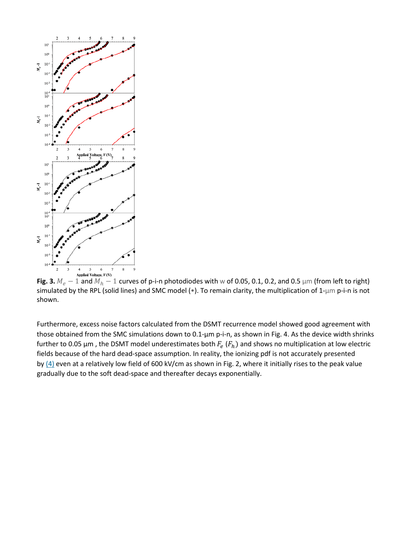

**Fig. 3.**  $M_e - 1$  and  $M_h - 1$  curves of p-i-n photodiodes with w of 0.05, 0.1, 0.2, and 0.5 µm (from left to right) simulated by the RPL (solid lines) and SMC model (•). To remain clarity, the multiplication of 1-μm p-i-n is not shown.

Furthermore, excess noise factors calculated from the DSMT recurrence model showed good agreement with those obtained from the SMC simulations down to 0.1-μm p-i-n, as shown in Fig. 4. As the device width shrinks further to 0.05  $\mu$ m, the DSMT model underestimates both  $F_e$  ( $F_h$ ) and shows no multiplication at low electric fields because of the hard dead-space assumption. In reality, the ionizing pdf is not accurately presented by  $(4)$  even at a relatively low field of 600 kV/cm as shown in Fig. 2, where it initially rises to the peak value gradually due to the soft dead-space and thereafter decays exponentially.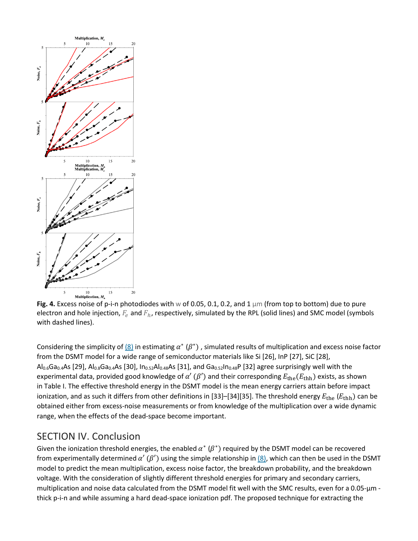

**Fig. 4.** Excess noise of p-i-n photodiodes with w of 0.05, 0.1, 0.2, and 1 μm (from top to bottom) due to pure electron and hole injection,  $F_e$  and  $F_h$ , respectively, simulated by the RPL (solid lines) and SMC model (symbols with dashed lines).

Considering the simplicity of  $(8)$  in estimating  $\alpha^* (\beta^*)$ , simulated results of multiplication and excess noise factor from the DSMT model for a wide range of semiconductor materials like Si [26], InP [27], SiC [28], Al<sub>0.6</sub>Ga<sub>0.4</sub>As [29], Al<sub>0.8</sub>Ga<sub>0.4</sub>As [30], In<sub>0.52</sub>Al<sub>0.48</sub>As [31], and Ga<sub>0.52</sub>In<sub>0.48</sub>P [32] agree surprisingly well with the experimental data, provided good knowledge of  $\alpha'$  ( $\beta'$ ) and their corresponding  $E_{the}(E_{thh})$  exists, as shown in Table I. The effective threshold energy in the DSMT model is the mean energy carriers attain before impact ionization, and as such it differs from other definitions in [33]–[34][35]. The threshold energy  $E_{the}$  ( $E_{thh}$ ) can be obtained either from excess-noise measurements or from knowledge of the multiplication over a wide dynamic range, when the effects of the dead-space become important.

#### SECTION IV. Conclusion

Given the ionization threshold energies, the enabled  $\alpha^*$  ( $\beta^*$ ) required by the DSMT model can be recovered from experimentally determined  $\alpha'$  ( $\beta'$ ) using the simple relationship in [\(8\),](https://ieeexplore.ieee.org/document/#deqn8) which can then be used in the DSMT model to predict the mean multiplication, excess noise factor, the breakdown probability, and the breakdown voltage. With the consideration of slightly different threshold energies for primary and secondary carriers, multiplication and noise data calculated from the DSMT model fit well with the SMC results, even for a 0.05-μm thick p-i-n and while assuming a hard dead-space ionization pdf. The proposed technique for extracting the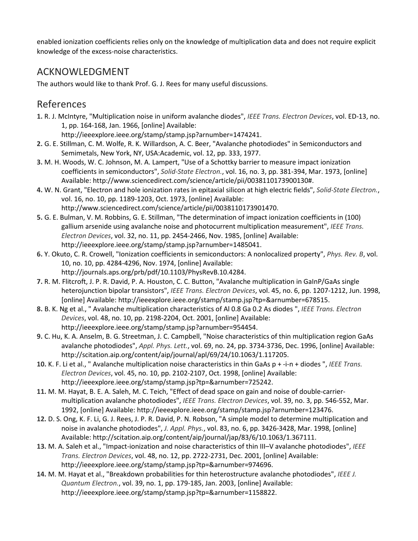enabled ionization coefficients relies only on the knowledge of multiplication data and does not require explicit knowledge of the excess-noise characteristics.

## ACKNOWLEDGMENT

The authors would like to thank Prof. G. J. Rees for many useful discussions.

## References

**1.** R. J. McIntyre, "Multiplication noise in uniform avalanche diodes", *IEEE Trans. Electron Devices*, vol. ED-13, no. 1, pp. 164-168, Jan. 1966, [online] Available:

http://ieeexplore.ieee.org/stamp/stamp.jsp?arnumber=1474241.

- **2.** G. E. Stillman, C. M. Wolfe, R. K. Willardson, A. C. Beer, "Avalanche photodiodes" in Semiconductors and Semimetals, New York, NY, USA:Academic, vol. 12, pp. 333, 1977.
- **3.** M. H. Woods, W. C. Johnson, M. A. Lampert, "Use of a Schottky barrier to measure impact ionization coefficients in semiconductors", *Solid-State Electron.*, vol. 16, no. 3, pp. 381-394, Mar. 1973, [online] Available: http://www.sciencedirect.com/science/article/pii/0038110173900130#.
- **4.** W. N. Grant, "Electron and hole ionization rates in epitaxial silicon at high electric fields", *Solid-State Electron.*, vol. 16, no. 10, pp. 1189-1203, Oct. 1973, [online] Available: http://www.sciencedirect.com/science/article/pii/0038110173901470.
- **5.** G. E. Bulman, V. M. Robbins, G. E. Stillman, "The determination of impact ionization coefficients in (100) gallium arsenide using avalanche noise and photocurrent multiplication measurement", *IEEE Trans. Electron Devices*, vol. 32, no. 11, pp. 2454-2466, Nov. 1985, [online] Available: http://ieeexplore.ieee.org/stamp/stamp.jsp?arnumber=1485041.
- **6.** Y. Okuto, C. R. Crowell, "Ionization coefficients in semiconductors: A nonlocalized property", *Phys. Rev. B*, vol. 10, no. 10, pp. 4284-4296, Nov. 1974, [online] Available: http://journals.aps.org/prb/pdf/10.1103/PhysRevB.10.4284.
- **7.** R. M. Flitcroft, J. P. R. David, P. A. Houston, C. C. Button, "Avalanche multiplication in GaInP/GaAs single heterojunction bipolar transistors", *IEEE Trans. Electron Devices*, vol. 45, no. 6, pp. 1207-1212, Jun. 1998, [online] Available: http://ieeexplore.ieee.org/stamp/stamp.jsp?tp=&arnumber=678515.
- **8.** B. K. Ng et al., " Avalanche multiplication characteristics of Al 0.8 Ga 0.2 As diodes ", *IEEE Trans. Electron Devices*, vol. 48, no. 10, pp. 2198-2204, Oct. 2001, [online] Available: http://ieeexplore.ieee.org/stamp/stamp.jsp?arnumber=954454.
- **9.** C. Hu, K. A. Anselm, B. G. Streetman, J. C. Campbell, "Noise characteristics of thin multiplication region GaAs avalanche photodiodes", *Appl. Phys. Lett.*, vol. 69, no. 24, pp. 3734-3736, Dec. 1996, [online] Available: http://scitation.aip.org/content/aip/journal/apl/69/24/10.1063/1.117205.
- **10.** K. F. Li et al., " Avalanche multiplication noise characteristics in thin GaAs p + -i-n + diodes ", *IEEE Trans. Electron Devices*, vol. 45, no. 10, pp. 2102-2107, Oct. 1998, [online] Available: http://ieeexplore.ieee.org/stamp/stamp.jsp?tp=&arnumber=725242.
- **11.** M. M. Hayat, B. E. A. Saleh, M. C. Teich, "Effect of dead space on gain and noise of double-carriermultiplication avalanche photodiodes", *IEEE Trans. Electron Devices*, vol. 39, no. 3, pp. 546-552, Mar. 1992, [online] Available: http://ieeexplore.ieee.org/stamp/stamp.jsp?arnumber=123476.
- **12.** D. S. Ong, K. F. Li, G. J. Rees, J. P. R. David, P. N. Robson, "A simple model to determine multiplication and noise in avalanche photodiodes", *J. Appl. Phys.*, vol. 83, no. 6, pp. 3426-3428, Mar. 1998, [online] Available: http://scitation.aip.org/content/aip/journal/jap/83/6/10.1063/1.367111.
- **13.** M. A. Saleh et al., "Impact-ionization and noise characteristics of thin III–V avalanche photodiodes", *IEEE Trans. Electron Devices*, vol. 48, no. 12, pp. 2722-2731, Dec. 2001, [online] Available: http://ieeexplore.ieee.org/stamp/stamp.jsp?tp=&arnumber=974696.
- **14.** M. M. Hayat et al., "Breakdown probabilities for thin heterostructure avalanche photodiodes", *IEEE J. Quantum Electron.*, vol. 39, no. 1, pp. 179-185, Jan. 2003, [online] Available: http://ieeexplore.ieee.org/stamp/stamp.jsp?tp=&arnumber=1158822.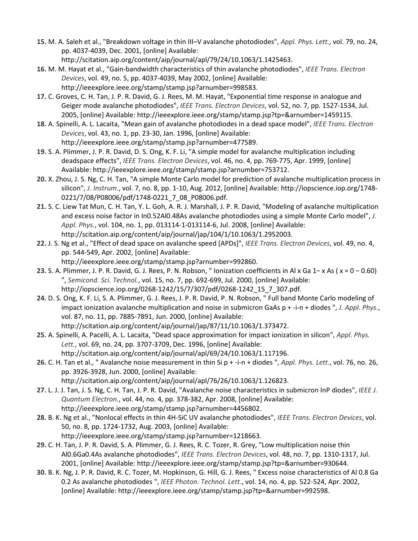- **15.** M. A. Saleh et al., "Breakdown voltage in thin III–V avalanche photodiodes", *Appl. Phys. Lett.*, vol. 79, no. 24, pp. 4037-4039, Dec. 2001, [online] Available: http://scitation.aip.org/content/aip/journal/apl/79/24/10.1063/1.1425463.
- **16.** M. M. Hayat et al., "Gain-bandwidth characteristics of thin avalanche photodiodes", *IEEE Trans. Electron Devices*, vol. 49, no. 5, pp. 4037-4039, May 2002, [online] Available: http://ieeexplore.ieee.org/stamp/stamp.jsp?arnumber=998583.
- **17.** C. Groves, C. H. Tan, J. P. R. David, G. J. Rees, M. M. Hayat, "Exponential time response in analogue and Geiger mode avalanche photodiodes", *IEEE Trans. Electron Devices*, vol. 52, no. 7, pp. 1527-1534, Jul. 2005, [online] Available: http://ieeexplore.ieee.org/stamp/stamp.jsp?tp=&arnumber=1459115.
- **18.** A. Spinelli, A. L. Lacaita, "Mean gain of avalanche photodiodes in a dead space model", *IEEE Trans. Electron Devices*, vol. 43, no. 1, pp. 23-30, Jan. 1996, [online] Available: http://ieeexplore.ieee.org/stamp/stamp.jsp?arnumber=477589.
- **19.** S. A. Plimmer, J. P. R. David, D. S. Ong, K. F. Li, "A simple model for avalanche multiplication including deadspace effects", *IEEE Trans. Electron Devices*, vol. 46, no. 4, pp. 769-775, Apr. 1999, [online] Available: http://ieeexplore.ieee.org/stamp/stamp.jsp?arnumber=753712.
- **20.** X. Zhou, J. S. Ng, C. H. Tan, "A simple Monte Carlo model for prediction of avalanche multiplication process in silicon", *J. Instrum.*, vol. 7, no. 8, pp. 1-10, Aug. 2012, [online] Available: http://iopscience.iop.org/1748- 0221/7/08/P08006/pdf/1748-0221\_7\_08\_P08006.pdf.
- **21.** S. C. Liew Tat Mun, C. H. Tan, Y. L. Goh, A. R. J. Marshall, J. P. R. David, "Modeling of avalanche multiplication and excess noise factor in In0.52Al0.48As avalanche photodiodes using a simple Monte Carlo model", *J. Appl. Phys.*, vol. 104, no. 1, pp. 013114-1-013114-6, Jul. 2008, [online] Available: http://scitation.aip.org/content/aip/journal/jap/104/1/10.1063/1.2952003.
- **22.** J. S. Ng et al., "Effect of dead space on avalanche speed [APDs]", *IEEE Trans. Electron Devices*, vol. 49, no. 4, pp. 544-549, Apr. 2002, [online] Available: http://ieeexplore.ieee.org/stamp/stamp.jsp?arnumber=992860.
- **23.** S. A. Plimmer, J. P. R. David, G. J. Rees, P. N. Robson, " Ionization coefficients in Al x Ga 1− x As ( x = 0 − 0.60) ", *Semicond. Sci. Technol.*, vol. 15, no. 7, pp. 692-699, Jul. 2000, [online] Available: http://iopscience.iop.org/0268-1242/15/7/307/pdf/0268-1242\_15\_7\_307.pdf.
- **24.** D. S. Ong, K. F. Li, S. A. Plimmer, G. J. Rees, J. P. R. David, P. N. Robson, " Full band Monte Carlo modeling of impact ionization avalanche multiplication and noise in submicron GaAs p + -i-n + diodes ", *J. Appl. Phys.*, vol. 87, no. 11, pp. 7885-7891, Jun. 2000, [online] Available: http://scitation.aip.org/content/aip/journal/jap/87/11/10.1063/1.373472.
- **25.** A. Spinelli, A. Pacelli, A. L. Lacaita, "Dead space approximation for impact ionization in silicon", *Appl. Phys. Lett.*, vol. 69, no. 24, pp. 3707-3709, Dec. 1996, [online] Available: http://scitation.aip.org/content/aip/journal/apl/69/24/10.1063/1.117196.
- **26.** C. H. Tan et al., " Avalanche noise measurement in thin Si p + -i-n + diodes ", *Appl. Phys. Lett.*, vol. 76, no. 26, pp. 3926-3928, Jun. 2000, [online] Available: http://scitation.aip.org/content/aip/journal/apl/76/26/10.1063/1.126823.
- **27.** L. J. J. Tan, J. S. Ng, C. H. Tan, J. P. R. David, "Avalanche noise characteristics in submicron InP diodes", *IEEE J. Quantum Electron.*, vol. 44, no. 4, pp. 378-382, Apr. 2008, [online] Available: http://ieeexplore.ieee.org/stamp/stamp.jsp?arnumber=4456802.
- **28.** B. K. Ng et al., "Nonlocal effects in thin 4H-SiC UV avalanche photodiodes", *IEEE Trans. Electron Devices*, vol. 50, no. 8, pp. 1724-1732, Aug. 2003, [online] Available: http://ieeexplore.ieee.org/stamp/stamp.jsp?arnumber=1218663.
- **29.** C. H. Tan, J. P. R. David, S. A. Plimmer, G. J. Rees, R. C. Tozer, R. Grey, "Low multiplication noise thin Al0.6Ga0.4As avalanche photodiodes", *IEEE Trans. Electron Devices*, vol. 48, no. 7, pp. 1310-1317, Jul. 2001, [online] Available: http://ieeexplore.ieee.org/stamp/stamp.jsp?tp=&arnumber=930644.
- **30.** B. K. Ng, J. P. R. David, R. C. Tozer, M. Hopkinson, G. Hill, G. J. Rees, " Excess noise characteristics of Al 0.8 Ga 0.2 As avalanche photodiodes ", *IEEE Photon. Technol. Lett.*, vol. 14, no. 4, pp. 522-524, Apr. 2002, [online] Available: http://ieeexplore.ieee.org/stamp/stamp.jsp?tp=&arnumber=992598.